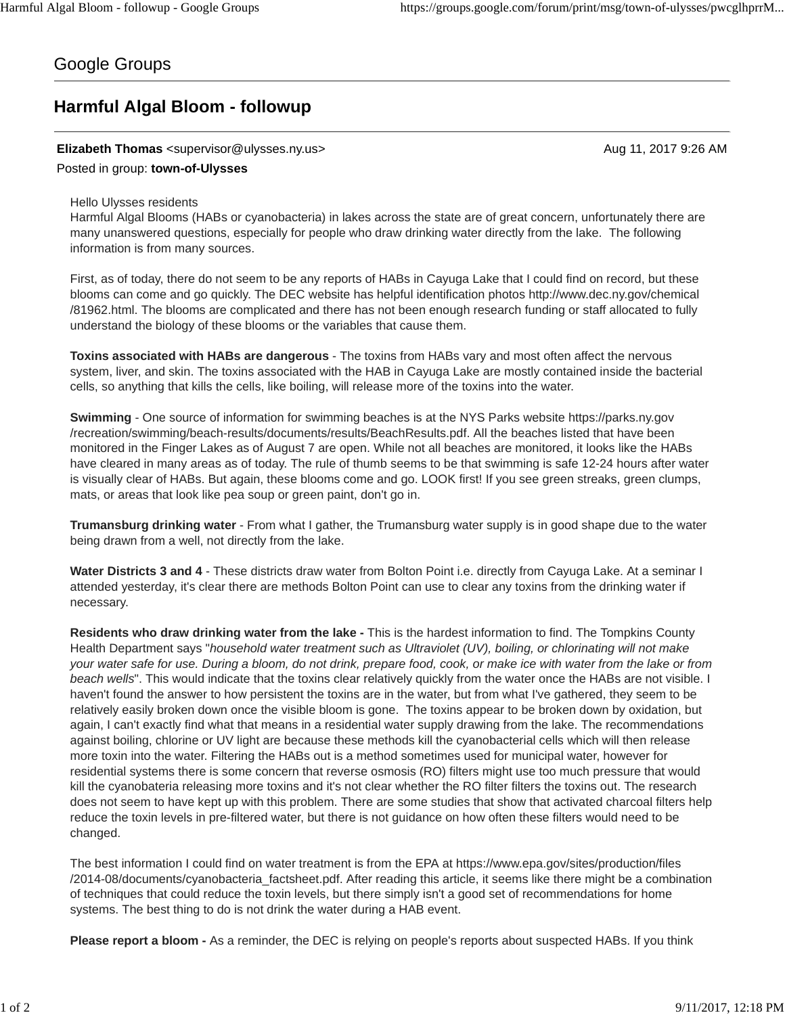## Google Groups

# **Harmful Algal Bloom - followup**

### **Elizabeth Thomas** <supervisor@ulysses.ny.us> Aug 11, 2017 9:26 AM

### Posted in group: **town-of-Ulysses**

#### Hello Ulysses residents

Harmful Algal Blooms (HABs or cyanobacteria) in lakes across the state are of great concern, unfortunately there are many unanswered questions, especially for people who draw drinking water directly from the lake. The following information is from many sources.

First, as of today, there do not seem to be any reports of HABs in Cayuga Lake that I could find on record, but these blooms can come and go quickly. The DEC website has helpful identification photos http://www.dec.ny.gov/chemical /81962.html. The blooms are complicated and there has not been enough research funding or staff allocated to fully understand the biology of these blooms or the variables that cause them.

**Toxins associated with HABs are dangerous** - The toxins from HABs vary and most often affect the nervous system, liver, and skin. The toxins associated with the HAB in Cayuga Lake are mostly contained inside the bacterial cells, so anything that kills the cells, like boiling, will release more of the toxins into the water.

**Swimming** - One source of information for swimming beaches is at the NYS Parks website https://parks.ny.gov /recreation/swimming/beach-results/documents/results/BeachResults.pdf. All the beaches listed that have been monitored in the Finger Lakes as of August 7 are open. While not all beaches are monitored, it looks like the HABs have cleared in many areas as of today. The rule of thumb seems to be that swimming is safe 12-24 hours after water is visually clear of HABs. But again, these blooms come and go. LOOK first! If you see green streaks, green clumps, mats, or areas that look like pea soup or green paint, don't go in.

**Trumansburg drinking water** - From what I gather, the Trumansburg water supply is in good shape due to the water being drawn from a well, not directly from the lake.

**Water Districts 3 and 4** - These districts draw water from Bolton Point i.e. directly from Cayuga Lake. At a seminar I attended yesterday, it's clear there are methods Bolton Point can use to clear any toxins from the drinking water if necessary.

**Residents who draw drinking water from the lake -** This is the hardest information to find. The Tompkins County Health Department says "*household water treatment such as Ultraviolet (UV), boiling, or chlorinating will not make your water safe for use. During a bloom, do not drink, prepare food, cook, or make ice with water from the lake or from beach wells*". This would indicate that the toxins clear relatively quickly from the water once the HABs are not visible. I haven't found the answer to how persistent the toxins are in the water, but from what I've gathered, they seem to be relatively easily broken down once the visible bloom is gone. The toxins appear to be broken down by oxidation, but again, I can't exactly find what that means in a residential water supply drawing from the lake. The recommendations against boiling, chlorine or UV light are because these methods kill the cyanobacterial cells which will then release more toxin into the water. Filtering the HABs out is a method sometimes used for municipal water, however for residential systems there is some concern that reverse osmosis (RO) filters might use too much pressure that would kill the cyanobateria releasing more toxins and it's not clear whether the RO filter filters the toxins out. The research does not seem to have kept up with this problem. There are some studies that show that activated charcoal filters help reduce the toxin levels in pre-filtered water, but there is not guidance on how often these filters would need to be changed.

The best information I could find on water treatment is from the EPA at https://www.epa.gov/sites/production/files /2014-08/documents/cyanobacteria\_factsheet.pdf. After reading this article, it seems like there might be a combination of techniques that could reduce the toxin levels, but there simply isn't a good set of recommendations for home systems. The best thing to do is not drink the water during a HAB event.

**Please report a bloom -** As a reminder, the DEC is relying on people's reports about suspected HABs. If you think